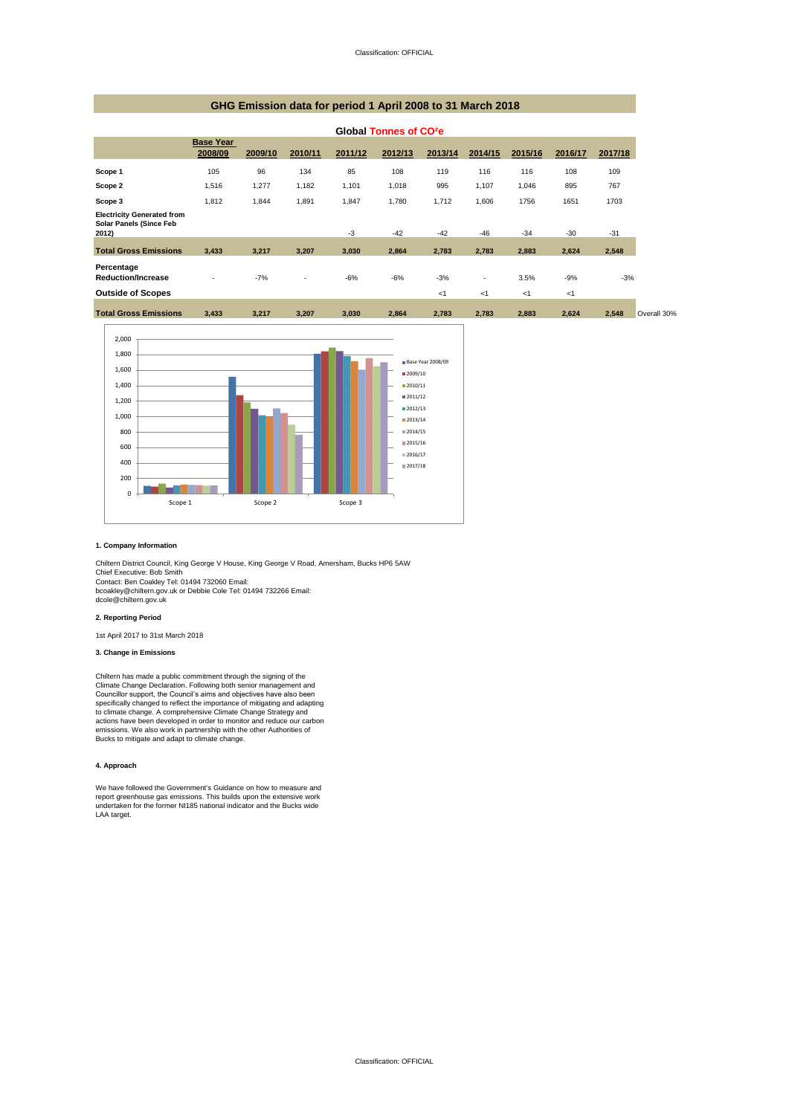### **GHG Emission data for period 1 April 2008 to 31 March 2018**

|                                                                       | Global Tonnes of CO <sup>2</sup> e |         |                          |         |         |         |         |         |         |         |  |
|-----------------------------------------------------------------------|------------------------------------|---------|--------------------------|---------|---------|---------|---------|---------|---------|---------|--|
|                                                                       | <b>Base Year</b><br>2008/09        | 2009/10 | 2010/11                  | 2011/12 | 2012/13 | 2013/14 | 2014/15 | 2015/16 | 2016/17 | 2017/18 |  |
| Scope 1                                                               | 105                                | 96      | 134                      | 85      | 108     | 119     | 116     | 116     | 108     | 109     |  |
| Scope 2                                                               | 1,516                              | 1,277   | 1,182                    | 1,101   | 1,018   | 995     | 1,107   | 1,046   | 895     | 767     |  |
| Scope 3                                                               | 1,812                              | 1,844   | 1,891                    | 1,847   | 1,780   | 1,712   | 1,606   | 1756    | 1651    | 1703    |  |
| <b>Electricity Generated from</b><br>Solar Panels (Since Feb<br>2012) |                                    |         |                          | $-3$    | $-42$   | $-42$   | $-46$   | $-34$   | $-30$   | $-31$   |  |
| <b>Total Gross Emissions</b>                                          | 3,433                              | 3,217   | 3,207                    | 3,030   | 2,864   | 2,783   | 2,783   | 2,883   | 2,624   | 2,548   |  |
| Percentage<br><b>Reduction/Increase</b>                               | ۰                                  | $-7%$   | $\overline{\phantom{a}}$ | $-6%$   | $-6%$   | $-3%$   | ٠       | 3.5%    | $-9%$   | $-3%$   |  |
| <b>Outside of Scopes</b>                                              |                                    |         |                          |         |         | <1      | <1      | <1      | $<$ 1   |         |  |
| <b>Total Gross Emissions</b>                                          | 3,433                              | 3,217   | 3,207                    | 3,030   | 2,864   | 2,783   | 2,783   | 2,883   | 2,624   | 2,548   |  |



#### **1. Company Information**

Chiltern District Council, King George V House, King George V Road, Amersham, Bucks HP6 5AW Chief Executive: Bob Smith

Contact: Ben Coakley Tel: 01494 732060 Email: bcoakley@chiltern.gov.uk or Debbie Cole Tel: 01494 732266 Email: dcole@chiltern.gov.uk

### **2. Reporting Period**

1st April 2017 to 31st March 2018

#### **3. Change in Emissions**

Chiltern has made a public commitment through the signing of the Climate Change Declaration. Following both senior management and<br>Councillor support, the Council's aims and objectives have also been<br>specifically changed to reflect the importance of mitigating and adapting to climate change. A comprehensive Climate Change Strategy and actions have been developed in order to monitor and reduce our carbon emissions. We also work in partnership with the other Authorities of Bucks to mitigate and adapt to climate change.

#### **4. Approach**

We have followed the Government's Guidance on how to measure and report greenhouse gas emissions. This builds upon the extensive work undertaken for the former NI185 national indicator and the Bucks wide LAA target.